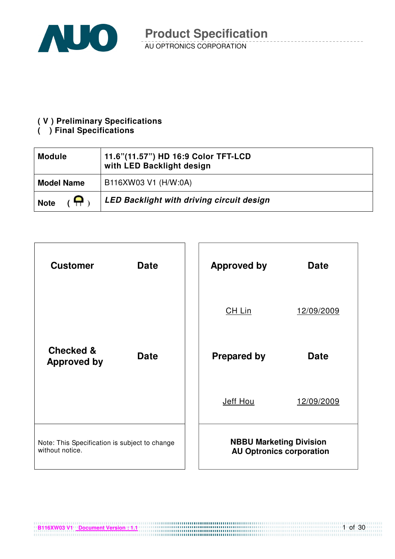

### **( V ) Preliminary Specifications**

# **( ) Final Specifications**

| <b>Module</b>                 | 11.6"(11.57") HD 16:9 Color TFT-LCD<br>with LED Backlight design |
|-------------------------------|------------------------------------------------------------------|
| <b>Model Name</b>             | B116XW03 V1 (H/W:0A)                                             |
| $\overline{G}$<br><b>Note</b> | <b>LED Backlight with driving circuit design</b>                 |



**B116XW03 V1** Document Version : 1.1

1 of 30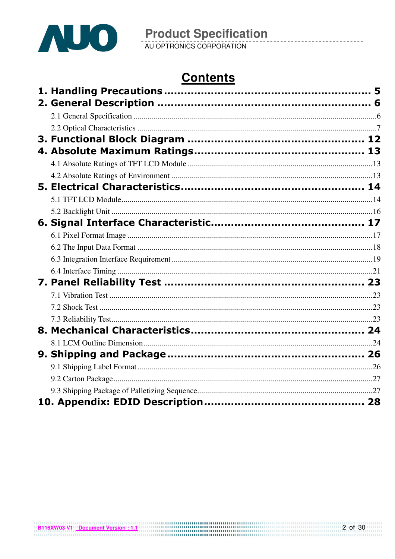

**Product Specification**<br>AU OPTRONICS CORPORATION

# **Contents**

2 of 30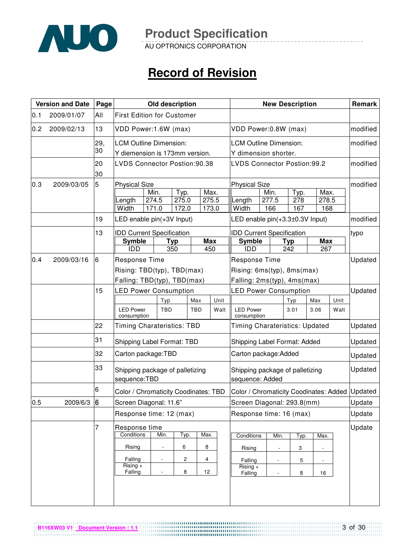

AU OPTRONICS CORPORATION

# **Record of Revision**

|     | <b>Version and Date</b> | Page           |                                                    | Old description              |                          |            |     |            | <b>New Description</b>                                    |                                                         |                          | Remark |    |          |          |
|-----|-------------------------|----------------|----------------------------------------------------|------------------------------|--------------------------|------------|-----|------------|-----------------------------------------------------------|---------------------------------------------------------|--------------------------|--------|----|----------|----------|
| 0.1 | 2009/01/07              | All            | <b>First Edition for Customer</b>                  |                              |                          |            |     |            |                                                           |                                                         |                          |        |    |          |          |
| 0.2 | 2009/02/13              | 13             | VDD Power:1.6W (max)                               |                              |                          |            |     |            |                                                           | VDD Power: 0.8W (max)                                   |                          |        |    |          | modified |
|     |                         | 29,            | <b>LCM Outline Dimension:</b>                      |                              |                          |            |     |            |                                                           | <b>LCM Outline Dimension:</b>                           |                          |        |    | modified |          |
|     |                         | 30             | Y diemension is 173mm version.                     |                              |                          |            |     |            |                                                           | Y dimension shorter.                                    |                          |        |    |          |          |
|     |                         | 20<br>30       |                                                    | LVDS Connector Postion:90.38 |                          |            |     |            | LVDS Connector Postion:99.2                               |                                                         |                          |        |    | modified |          |
| 0.3 | 2009/03/05              | $\overline{5}$ | <b>Physical Size</b>                               |                              |                          |            |     |            |                                                           | <b>Physical Size</b>                                    |                          |        |    |          | modified |
|     |                         |                |                                                    | Min.                         |                          | Typ.       |     | Max.       |                                                           |                                                         | Min.                     | Typ.   |    | Max.     |          |
|     |                         |                | _ength                                             | 274.5                        |                          | 275.0      |     | 275.5      |                                                           | Length                                                  | 277.5                    | 278    |    | 278.5    |          |
|     |                         |                | Width                                              | 171.0<br>172.0<br>173.0      |                          |            |     | Width      | 166                                                       | 167                                                     |                          | 168    |    |          |          |
|     |                         | 19             | LED enable pin(+3V Input)                          |                              |                          |            |     |            |                                                           | LED enable pin(+3.3±0.3V Input)                         |                          |        |    |          | modified |
|     |                         | 13             | <b>IDD Current Specification</b>                   |                              |                          |            |     |            |                                                           | <b>IDD Current Specification</b>                        |                          |        |    |          | typo     |
|     |                         |                | <b>Symble</b>                                      |                              |                          | <b>Typ</b> |     | <b>Max</b> |                                                           | <b>Symble</b><br><b>Max</b><br><b>Typ</b><br>267        |                          |        |    |          |          |
|     |                         |                | $\overline{IDD}$                                   |                              |                          | 350        |     | 450        |                                                           | <b>IDD</b>                                              |                          | 242    |    |          |          |
| 0.4 | 2009/03/16              | 6              | Response Time                                      |                              |                          |            |     |            |                                                           | Response Time                                           |                          |        |    | Updated  |          |
|     |                         |                | Rising: TBD(typ), TBD(max)                         |                              |                          |            |     |            | Rising: 6ms(typ), 8ms(max)<br>Falling: 2ms(typ), 4ms(max) |                                                         |                          |        |    |          |          |
|     |                         |                | Falling: TBD(typ), TBD(max)                        |                              |                          |            |     |            |                                                           |                                                         |                          |        |    |          |          |
|     |                         | 15             | <b>LED Power Consumption</b>                       |                              |                          |            |     |            |                                                           | <b>LED Power Consumption</b>                            |                          |        |    | Updated  |          |
|     |                         |                |                                                    |                              | Typ                      |            | Max |            | Unit<br>Max<br>Typ                                        |                                                         |                          | Unit   |    |          |          |
|     |                         |                | <b>LED Power</b><br>consumption                    |                              | TBD                      |            | TBD |            | Walt                                                      | <b>LED Power</b><br>3.01<br>3.06<br>Walt<br>consumption |                          |        |    |          |          |
|     |                         | 22             | <b>Timing Charateristics: TBD</b>                  |                              |                          |            |     |            |                                                           | Timing Charateristics: Updated                          |                          |        |    |          | Updated  |
|     |                         | 31             | Shipping Label Format: TBD                         |                              |                          |            |     |            |                                                           | Shipping Label Format: Added                            |                          |        |    |          | Updated  |
|     |                         | 32             | Carton package: TBD                                |                              |                          |            |     |            |                                                           | Carton package: Added                                   |                          |        |    |          | Updated  |
|     |                         | 33             | Shipping package of palletizing<br>sequence:TBD    |                              |                          |            |     |            |                                                           | Shipping package of palletizing<br>sequence: Added      |                          |        |    | Updated  |          |
|     |                         | 6              | Color / Chromaticity Coodinates: TBD               |                              |                          |            |     |            |                                                           | Color / Chromaticity Coodinates: Added Updated          |                          |        |    |          |          |
| 0.5 | 2009/6/3                | 6              | Screen Diagonal: 11.6"                             |                              |                          |            |     |            |                                                           | Screen Diagonal: 293.8(mm)                              |                          |        |    |          | Update   |
|     |                         |                | Response time: 12 (max)<br>Response time: 16 (max) |                              |                          |            |     |            | Update                                                    |                                                         |                          |        |    |          |          |
|     |                         | 7              | Response time<br>Conditions                        |                              | Min.                     | Typ.       |     | Max.       |                                                           | Conditions<br>Min.<br>Typ.<br>Max.                      |                          |        |    | Update   |          |
|     |                         |                | Rising                                             |                              | $\overline{a}$           | 6          |     | 8          |                                                           | Rising                                                  |                          | 3      |    |          |          |
|     |                         |                | Falling                                            |                              |                          | 2          |     | 4          |                                                           | Falling                                                 |                          | 5      |    |          |          |
|     |                         |                | $Rising +$<br>Falling                              |                              | $\overline{\phantom{a}}$ | 8          |     | 12         |                                                           | $Rising +$                                              |                          |        |    |          |          |
|     |                         |                |                                                    |                              |                          |            |     |            |                                                           | Falling                                                 | $\overline{\phantom{a}}$ | 8      | 16 |          |          |
|     |                         |                |                                                    |                              |                          |            |     |            |                                                           |                                                         |                          |        |    |          |          |
|     |                         |                |                                                    |                              |                          |            |     |            |                                                           |                                                         |                          |        |    |          |          |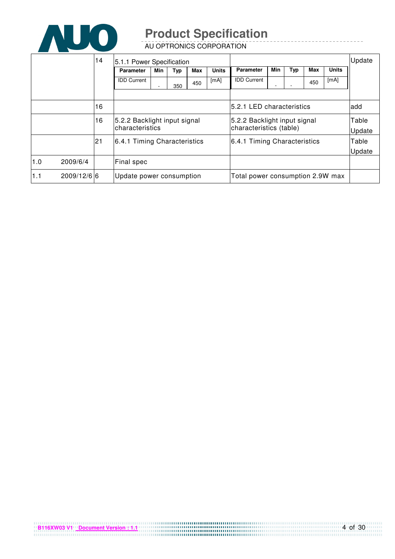

AU OPTRONICS CORPORATION

|     |             | 14 | 5.1.1 Power Specification    |     |     |     |              |                                  |            |            |     |              | Update |
|-----|-------------|----|------------------------------|-----|-----|-----|--------------|----------------------------------|------------|------------|-----|--------------|--------|
|     |             |    | <b>Parameter</b>             | Min | Typ | Max | <b>Units</b> | <b>Parameter</b>                 | <b>Min</b> | <b>Typ</b> | Max | <b>Units</b> |        |
|     |             |    | <b>IDD Current</b>           | ٠   | 350 | 450 | [mA]         | <b>IDD Current</b>               | ٠          |            | 450 | [mA]         |        |
|     |             |    |                              |     |     |     |              |                                  |            |            |     |              |        |
|     |             | 16 |                              |     |     |     |              | 5.2.1 LED characteristics        |            |            |     |              | ladd   |
|     |             | 16 | 5.2.2 Backlight input signal |     |     |     |              | 5.2.2 Backlight input signal     |            |            |     |              | Table  |
|     |             |    | characteristics              |     |     |     |              | characteristics (table)          |            |            |     |              | Update |
|     |             | 21 | 6.4.1 Timing Characteristics |     |     |     |              | 6.4.1 Timing Characteristics     |            |            |     |              | Table  |
|     |             |    |                              |     |     |     |              |                                  |            |            |     |              | Update |
| 1.0 | 2009/6/4    |    | Final spec                   |     |     |     |              |                                  |            |            |     |              |        |
| 1.1 | 2009/12/6 6 |    | Update power consumption     |     |     |     |              | Total power consumption 2.9W max |            |            |     |              |        |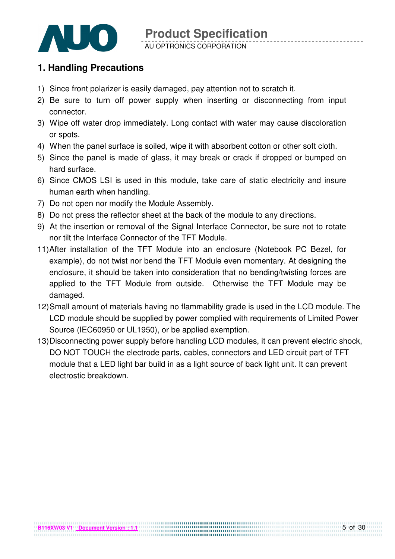

### **1. Handling Precautions**

- 1) Since front polarizer is easily damaged, pay attention not to scratch it.
- 2) Be sure to turn off power supply when inserting or disconnecting from input connector.
- 3) Wipe off water drop immediately. Long contact with water may cause discoloration or spots.
- 4) When the panel surface is soiled, wipe it with absorbent cotton or other soft cloth.
- 5) Since the panel is made of glass, it may break or crack if dropped or bumped on hard surface.
- 6) Since CMOS LSI is used in this module, take care of static electricity and insure human earth when handling.
- 7) Do not open nor modify the Module Assembly.
- 8) Do not press the reflector sheet at the back of the module to any directions.
- 9) At the insertion or removal of the Signal Interface Connector, be sure not to rotate nor tilt the Interface Connector of the TFT Module.
- 11) After installation of the TFT Module into an enclosure (Notebook PC Bezel, for example), do not twist nor bend the TFT Module even momentary. At designing the enclosure, it should be taken into consideration that no bending/twisting forces are applied to the TFT Module from outside. Otherwise the TFT Module may be damaged.
- 12) Small amount of materials having no flammability grade is used in the LCD module. The LCD module should be supplied by power complied with requirements of Limited Power Source (IEC60950 or UL1950), or be applied exemption.
- 13) Disconnecting power supply before handling LCD modules, it can prevent electric shock, DO NOT TOUCH the electrode parts, cables, connectors and LED circuit part of TFT module that a LED light bar build in as a light source of back light unit. It can prevent electrostic breakdown.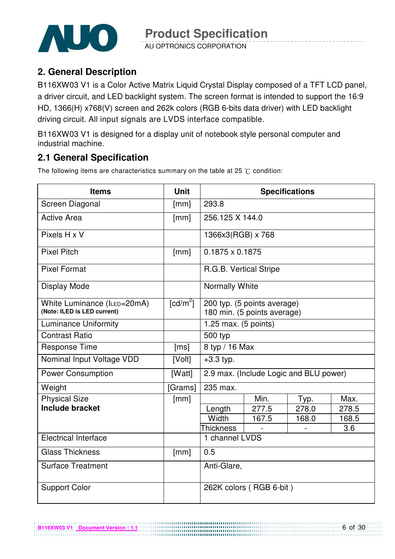

AU OPTRONICS CORPORATION

## **2. General Description**

B116XW03 V1 is a Color Active Matrix Liquid Crystal Display composed of a TFT LCD panel, a driver circuit, and LED backlight system. The screen format is intended to support the 16:9 HD, 1366(H) x768(V) screen and 262k colors (RGB 6-bits data driver) with LED backlight driving circuit. All input signals are LVDS interface compatible.

B116XW03 V1 is designed for a display unit of notebook style personal computer and industrial machine.

## **2.1 General Specification**

The following items are characteristics summary on the table at 25  $\degree$ C condition:

| <b>Items</b>                                               | <b>Unit</b>            |                                |                                                            | <b>Specifications</b>                  |       |  |  |
|------------------------------------------------------------|------------------------|--------------------------------|------------------------------------------------------------|----------------------------------------|-------|--|--|
| Screen Diagonal                                            | [mm]                   | 293.8                          |                                                            |                                        |       |  |  |
| <b>Active Area</b>                                         | [mm]                   | 256.125 X 144.0                |                                                            |                                        |       |  |  |
| Pixels H x V                                               |                        | 1366x3(RGB) x 768              |                                                            |                                        |       |  |  |
| <b>Pixel Pitch</b>                                         | [mm]                   | $0.1875 \times 0.1875$         |                                                            |                                        |       |  |  |
| <b>Pixel Format</b>                                        |                        | R.G.B. Vertical Stripe         |                                                            |                                        |       |  |  |
| Display Mode                                               |                        | Normally White                 |                                                            |                                        |       |  |  |
| White Luminance (ILED=20mA)<br>(Note: ILED is LED current) | $\lceil cd/m^2 \rceil$ |                                | 200 typ. (5 points average)<br>180 min. (5 points average) |                                        |       |  |  |
| <b>Luminance Uniformity</b>                                |                        | 1.25 max. $(5 \text{ points})$ |                                                            |                                        |       |  |  |
| <b>Contrast Ratio</b>                                      |                        | 500 typ                        |                                                            |                                        |       |  |  |
| <b>Response Time</b>                                       | [ms]                   | 8 typ / 16 Max                 |                                                            |                                        |       |  |  |
| Nominal Input Voltage VDD                                  | [Volt]                 | $+3.3$ typ.                    |                                                            |                                        |       |  |  |
| <b>Power Consumption</b>                                   | [Watt]                 |                                |                                                            | 2.9 max. (Include Logic and BLU power) |       |  |  |
| Weight                                                     | [Grams]                | 235 max.                       |                                                            |                                        |       |  |  |
| <b>Physical Size</b>                                       | [mm]                   |                                | Min.                                                       | Typ.                                   | Max.  |  |  |
| <b>Include bracket</b>                                     |                        | Length                         | 277.5                                                      | 278.0                                  | 278.5 |  |  |
|                                                            |                        | Width                          | 167.5                                                      | 168.0                                  | 168.5 |  |  |
|                                                            |                        | <b>Thickness</b>               |                                                            |                                        | 3.6   |  |  |
| <b>Electrical Interface</b>                                |                        | 1 channel LVDS                 |                                                            |                                        |       |  |  |
| <b>Glass Thickness</b>                                     | [mm]                   | 0.5                            |                                                            |                                        |       |  |  |
| <b>Surface Treatment</b>                                   |                        | Anti-Glare,                    |                                                            |                                        |       |  |  |
| <b>Support Color</b>                                       |                        |                                | 262K colors (RGB 6-bit)                                    |                                        |       |  |  |

................................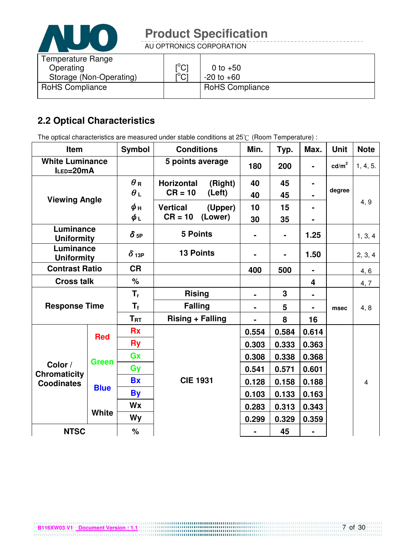

AU OPTRONICS CORPORATION

| Temperature Range       |                               |                        |
|-------------------------|-------------------------------|------------------------|
| Operating               | $\mathsf{I}^\circ\mathsf{Cl}$ | 0 to $+50$             |
| Storage (Non-Operating) | $\mathsf{I}^\circ\mathsf{Cl}$ | $-20$ to $+60$         |
| <b>RoHS Compliance</b>  |                               | <b>RoHS Compliance</b> |

## **2.2 Optical Characteristics**

The optical characteristics are measured under stable conditions at 25°C (Room Temperature) :

| Item                                |              | <b>Symbol</b> | <b>Conditions</b>       |                | Min.  | Typ.           | Max.           | <b>Unit</b>     | <b>Note</b>             |
|-------------------------------------|--------------|---------------|-------------------------|----------------|-------|----------------|----------------|-----------------|-------------------------|
| <b>White Luminance</b><br>ILED=20mA |              |               | 5 points average        |                | 180   | 200            | $\blacksquare$ | $\text{cd/m}^2$ | 1, 4, 5.                |
|                                     |              | $\theta$ R    | <b>Horizontal</b>       | (Right)        | 40    | 45             |                |                 |                         |
| <b>Viewing Angle</b>                |              | $\theta$ L    | $CR = 10$               | (Left)         | 40    | 45             |                | degree          |                         |
|                                     |              | ψн            | <b>Vertical</b>         | (Upper)        | 10    | 15             |                |                 | 4, 9                    |
|                                     |              | $\phi_L$      | $CR = 10$               | (Lower)        | 30    | 35             |                |                 |                         |
| Luminance<br><b>Uniformity</b>      |              | $\delta$ 5P   | <b>5 Points</b>         |                |       | $\blacksquare$ | 1.25           |                 | 1, 3, 4                 |
| Luminance<br><b>Uniformity</b>      |              | $\delta$ 13P  | <b>13 Points</b>        |                |       | $\blacksquare$ | 1.50           |                 | 2, 3, 4                 |
| <b>Contrast Ratio</b>               |              | <b>CR</b>     |                         |                | 400   | 500            |                |                 | 4, 6                    |
| <b>Cross talk</b>                   |              | %             |                         |                |       |                | 4              |                 | 4, 7                    |
|                                     |              | $T_{r}$       | <b>Rising</b>           | ۰              | 3     | $\blacksquare$ |                |                 |                         |
| <b>Response Time</b>                |              | $T_f$         | <b>Falling</b>          | $\blacksquare$ | 5     |                | msec           | 4, 8            |                         |
|                                     |              | $T_{\rm RT}$  | <b>Rising + Falling</b> |                |       | 8              | 16             |                 |                         |
|                                     | <b>Red</b>   | <b>Rx</b>     |                         |                | 0.554 | 0.584          | 0.614          |                 |                         |
|                                     |              | <b>Ry</b>     |                         |                | 0.303 | 0.333          | 0.363          |                 |                         |
|                                     | <b>Green</b> | Gx            |                         |                | 0.308 | 0.338          | 0.368          |                 |                         |
| Color /<br><b>Chromaticity</b>      |              | Gy            |                         |                | 0.541 | 0.571          | 0.601          |                 |                         |
| <b>Coodinates</b>                   |              | <b>Bx</b>     | <b>CIE 1931</b>         |                | 0.128 | 0.158          | 0.188          |                 | $\overline{\mathbf{4}}$ |
|                                     | <b>Blue</b>  | <b>By</b>     |                         |                | 0.103 | 0.133          | 0.163          |                 |                         |
|                                     |              | <b>Wx</b>     |                         |                | 0.283 | 0.313          | 0.343          |                 |                         |
|                                     | <b>White</b> | <b>Wy</b>     |                         |                | 0.299 | 0.329          | 0.359          |                 |                         |
| <b>NTSC</b>                         |              | $\%$          |                         |                |       | 45             |                |                 |                         |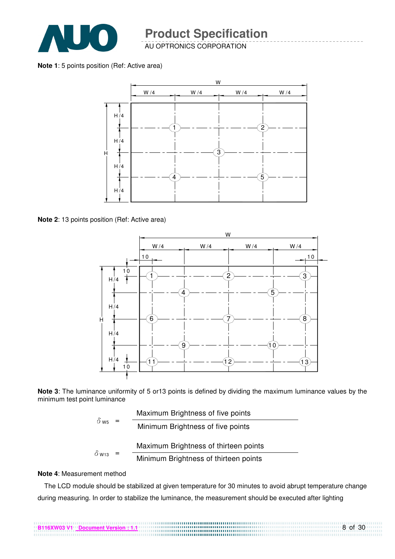

AU OPTRONICS CORPORATION

**Note 1**: 5 points position (Ref: Active area)



**Note 2**: 13 points position (Ref: Active area)



**Note 3**: The luminance uniformity of 5 or13 points is defined by dividing the maximum luminance values by the minimum test point luminance

| $\delta$ W <sub>5</sub> | Maximum Brightness of five points     |
|-------------------------|---------------------------------------|
|                         | Minimum Brightness of five points     |
|                         | Maximum Brightness of thirteen points |
| $\delta$ W13            | Minimum Brightness of thirteen points |

#### **Note 4**: Measurement method

The LCD module should be stabilized at given temperature for 30 minutes to avoid abrupt temperature change during measuring. In order to stabilize the luminance, the measurement should be executed after lighting

8 of 30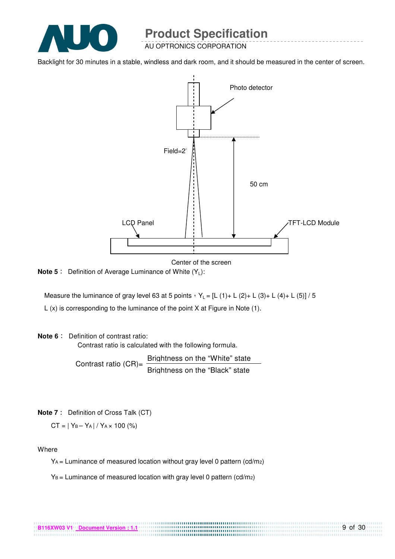

AU OPTRONICS CORPORATION

Backlight for 30 minutes in a stable, windless and dark room, and it should be measured in the center of screen.



Center of the screen

**Note 5** : Definition of Average Luminance of White (Y<sub>L</sub>):

Measure the luminance of gray level 63 at 5 points  $Y_L = [L (1) + L (2) + L (3) + L (4) + L (5)] / 5$ L (x) is corresponding to the luminance of the point X at Figure in Note (1).

#### **Note 6** : Definition of contrast ratio:

Contrast ratio is calculated with the following formula.

Contrast ratio  $(CR)$ = Brightness on the "White" state Brightness on the "Black" state

**Note 7** : Definition of Cross Talk (CT)

 $CT = |Y_B - Y_A| / Y_A \times 100$  (%)

**Where** 

 $Y_A$  = Luminance of measured location without gray level 0 pattern (cd/m<sub>2</sub>)

................................

 $Y_B =$  Luminance of measured location with gray level 0 pattern (cd/m2)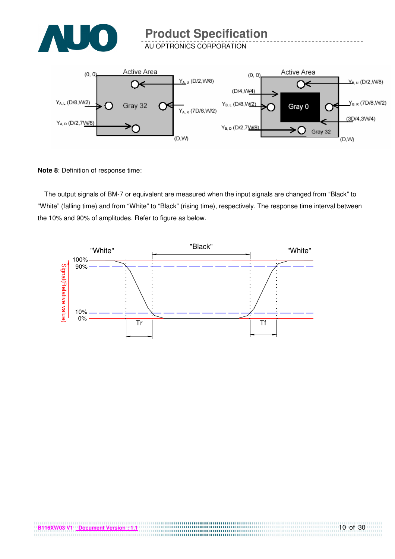

AU OPTRONICS CORPORATION



**Note 8**: Definition of response time:

The output signals of BM-7 or equivalent are measured when the input signals are changed from "Black" to "White" (falling time) and from "White" to "Black" (rising time), respectively. The response time interval between the 10% and 90% of amplitudes. Refer to figure as below.



,,,,,,,,,,,,,,,,,,,,,,,,,,,,,,,,,,,,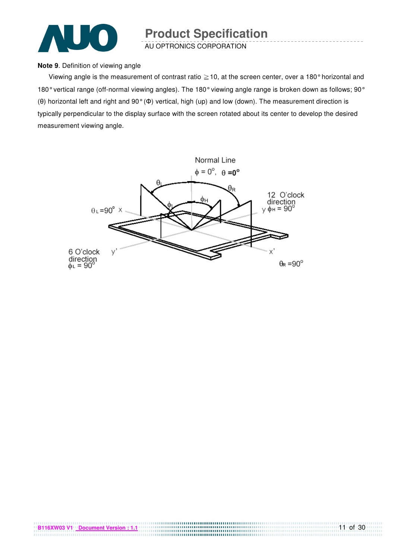

AU OPTRONICS CORPORATION

#### **Note 9**. Definition of viewing angle

Viewing angle is the measurement of contrast ratio  $\geq$  10, at the screen center, over a 180° horizontal and 180° vertical range (off-normal viewing angles). The 180° viewing angle range is broken down as follows; 90° (θ) horizontal left and right and 90° (Φ) vertical, high (up) and low (down). The measurement direction is typically perpendicular to the display surface with the screen rotated about its center to develop the desired measurement viewing angle.

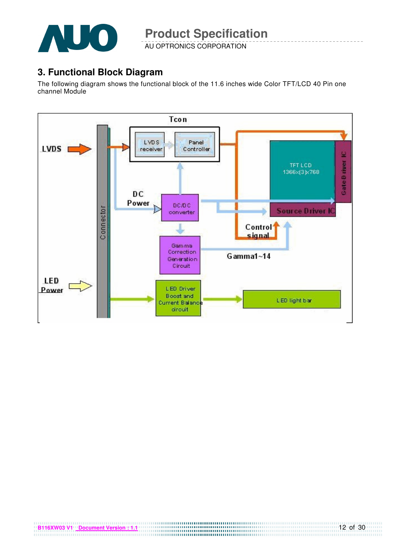

AU OPTRONICS CORPORATION

## **3. Functional Block Diagram**

The following diagram shows the functional block of the 11.6 inches wide Color TFT/LCD 40 Pin one channel Module

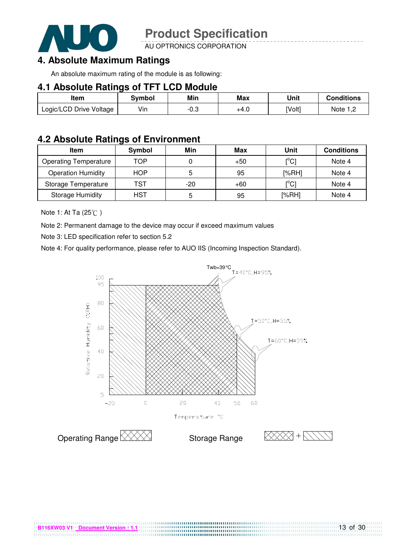

AU OPTRONICS CORPORATION

# **4. Absolute Maximum Ratings**

An absolute maximum rating of the module is as following:

### **4.1 Absolute Ratings of TFT LCD Module**

| Item                    | Svmbol | Min  | <b>Max</b> | Unit   | Conditions   |
|-------------------------|--------|------|------------|--------|--------------|
| Logic/LCD Drive Voltage | Vin    | -0.3 | +4.U       | [Volt] | Note<br>ے, ا |

### **4.2 Absolute Ratings of Environment**

| <b>Item</b>                  | Symbol     | Min   | Max   | Unit                                    | <b>Conditions</b> |
|------------------------------|------------|-------|-------|-----------------------------------------|-------------------|
| <b>Operating Temperature</b> | TOP        |       | $+50$ | $\mathsf{I}^\circ\mathsf{C} \mathsf{I}$ | Note 4            |
| <b>Operation Humidity</b>    | <b>HOP</b> | 5     | 95    | [%RH]                                   | Note 4            |
| Storage Temperature          | TST        | $-20$ | $+60$ | $\mathsf{I}^{\circ}$ Cl                 | Note 4            |
| <b>Storage Humidity</b>      | HST        | 5     | 95    | [%RH]                                   | Note 4            |

Note 1: At Ta (25°C)

Note 2: Permanent damage to the device may occur if exceed maximum values

Note 3: LED specification refer to section 5.2

Note 4: For quality performance, please refer to AUO IIS (Incoming Inspection Standard).



....................................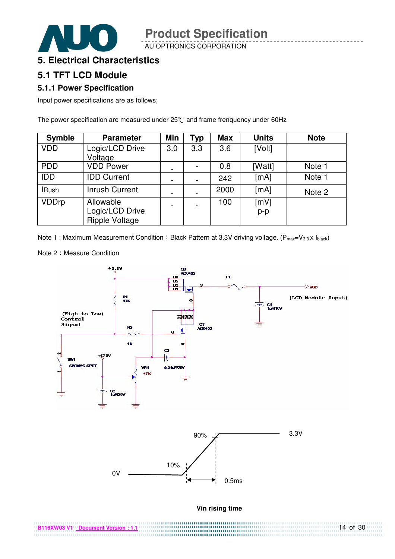AU OPTRONICS CORPORATION



### **5. Electrical Characteristics**

## **5.1 TFT LCD Module**

### **5.1.1 Power Specification**

Input power specifications are as follows;

The power specification are measured under  $25^{\circ}$ C and frame frenquency under 60Hz

| <b>Symble</b> | <b>Parameter</b>                                      | <b>Min</b>               | <b>Typ</b> | <b>Max</b> | <b>Units</b>  | <b>Note</b> |
|---------------|-------------------------------------------------------|--------------------------|------------|------------|---------------|-------------|
| <b>VDD</b>    | Logic/LCD Drive<br>Voltage                            | 3.0                      | 3.3        | 3.6        | [Volt]        |             |
| <b>PDD</b>    | <b>VDD Power</b>                                      | $\overline{\phantom{a}}$ |            | 0.8        | [Watt]        | Note 1      |
| <b>IDD</b>    | <b>IDD Current</b>                                    |                          |            | 242        | [mA]          | Note 1      |
| <b>IRush</b>  | <b>Inrush Current</b>                                 |                          |            | 2000       | [mA]          | Note 2      |
| <b>VDDrp</b>  | Allowable<br>Logic/LCD Drive<br><b>Ripple Voltage</b> |                          |            | 100        | [mV]<br>$p-p$ |             |

Note 1 : Maximum Measurement Condition : Black Pattern at 3.3V driving voltage. ( $P_{max}=V_{3.3} \times I_{black}$ )



Note 2: Measure Condition

| <sup>→</sup> B116XW03 V1 Document Version : 1.1 December 1.1 December 1.1 Dec | $14$ of 30 |
|-------------------------------------------------------------------------------|------------|
|                                                                               |            |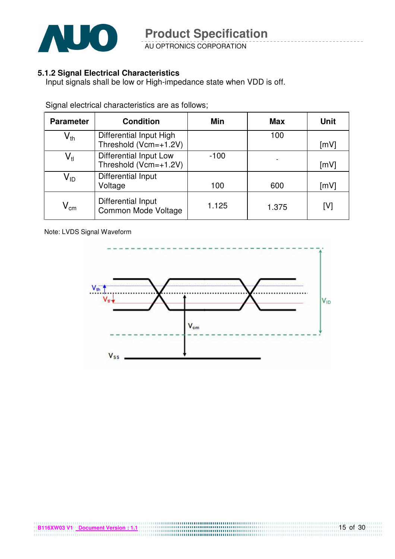

AU OPTRONICS CORPORATION

### **5.1.2 Signal Electrical Characteristics**

Input signals shall be low or High-impedance state when VDD is off.

| <b>Parameter</b>           | <b>Condition</b>                                 | Min    | <b>Max</b> | <b>Unit</b> |
|----------------------------|--------------------------------------------------|--------|------------|-------------|
| $\mathsf{V}_{\mathsf{th}}$ | Differential Input High<br>Threshold (Vcm=+1.2V) |        | 100        | [mV]        |
| $\mathsf{V}_{\mathsf{tl}}$ | Differential Input Low<br>Threshold (Vcm=+1.2V)  | $-100$ |            | [mV]        |
| Vın                        | Differential Input<br>Voltage                    | 100    | 600        | [mV]        |
| $V_{\text{cm}}$            | <b>Differential Input</b><br>Common Mode Voltage | 1.125  | 1.375      | [V]         |

Signal electrical characteristics are as follows;

Note: LVDS Signal Waveform

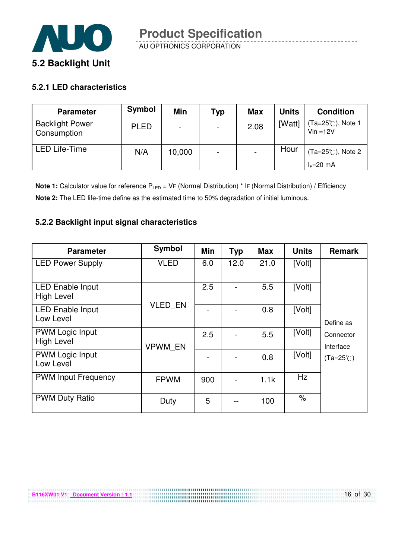

### **5.2.1 LED characteristics**

**B116XW01 V1 Document Version : 1.1**

| <b>Parameter</b>                      | Symbol      | Min    | Typ                      | <b>Max</b> | <b>Units</b> | <b>Condition</b>                            |
|---------------------------------------|-------------|--------|--------------------------|------------|--------------|---------------------------------------------|
| <b>Backlight Power</b><br>Consumption | <b>PLED</b> |        |                          | 2.08       | [Watt]       | $\mathsf{Ta}$ =25°C), Note 1<br>$Vin = 12V$ |
| <b>LED Life-Time</b>                  | N/A         | 10,000 | $\overline{\phantom{0}}$ |            | Hour         | $(Ta=25^{\circ}C)$ , Note 2                 |
|                                       |             |        |                          |            |              | $I_F=20$ mA                                 |

**Note 1:** Calculator value for reference P<sub>LED</sub> = VF (Normal Distribution) \* IF (Normal Distribution) / Efficiency **Note 2:** The LED life-time define as the estimated time to 50% degradation of initial luminous.

#### **5.2.2 Backlight input signal characteristics**

| <b>Parameter</b>                             | Symbol         | Min | <b>Typ</b> | <b>Max</b> | <b>Units</b> | <b>Remark</b>          |
|----------------------------------------------|----------------|-----|------------|------------|--------------|------------------------|
| <b>LED Power Supply</b>                      | <b>VLED</b>    | 6.0 | 12.0       | 21.0       | [Volt]       |                        |
| <b>LED Enable Input</b><br><b>High Level</b> |                | 2.5 |            | 5.5        | [Volt]       |                        |
| <b>LED Enable Input</b><br>Low Level         | <b>VLED EN</b> |     |            | 0.8        | [Volt]       | Define as              |
| <b>PWM Logic Input</b><br><b>High Level</b>  | <b>VPWM EN</b> | 2.5 |            | 5.5        | [Volt]       | Connector<br>Interface |
| <b>PWM Logic Input</b><br>Low Level          |                |     |            | 0.8        | [Volt]       | $(Ta=25^{\circ}C)$     |
| <b>PWM Input Frequency</b>                   | <b>FPWM</b>    | 900 |            | 1.1k       | Hz           |                        |
| <b>PWM Duty Ratio</b>                        | Duty           | 5   |            | 100        | $\%$         |                        |

,,,,,,,,,,,,,,,,,,,,,,,,,,,,,,,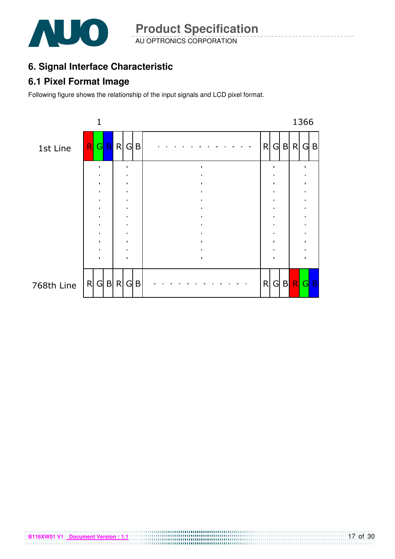

AU OPTRONICS CORPORATION **Product Specification** 

# **6. Signal Interface Characteristic**

## **6.1 Pixel Format Image**

Following figure shows the relationship of the input signals and LCD pixel format.



**B116XW01 V1 Document Version : 1.1**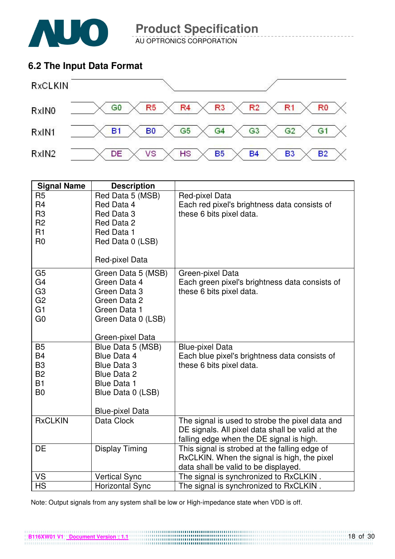

AU OPTRONICS CORPORATION

## **6.2 The Input Data Format**



| <b>Signal Name</b> | <b>Description</b>     |                                                  |
|--------------------|------------------------|--------------------------------------------------|
| R <sub>5</sub>     | Red Data 5 (MSB)       | Red-pixel Data                                   |
| R <sub>4</sub>     | Red Data 4             | Each red pixel's brightness data consists of     |
| R <sub>3</sub>     | Red Data 3             | these 6 bits pixel data.                         |
| R <sub>2</sub>     | Red Data 2             |                                                  |
| R1                 | Red Data 1             |                                                  |
| R <sub>0</sub>     | Red Data 0 (LSB)       |                                                  |
|                    | Red-pixel Data         |                                                  |
| G <sub>5</sub>     | Green Data 5 (MSB)     | Green-pixel Data                                 |
| G <sub>4</sub>     | Green Data 4           | Each green pixel's brightness data consists of   |
| G <sub>3</sub>     | Green Data 3           | these 6 bits pixel data.                         |
| G <sub>2</sub>     | Green Data 2           |                                                  |
| G <sub>1</sub>     | Green Data 1           |                                                  |
| G <sub>0</sub>     | Green Data 0 (LSB)     |                                                  |
|                    | Green-pixel Data       |                                                  |
| <b>B5</b>          | Blue Data 5 (MSB)      | <b>Blue-pixel Data</b>                           |
| <b>B4</b>          | Blue Data 4            | Each blue pixel's brightness data consists of    |
| B <sub>3</sub>     | <b>Blue Data 3</b>     | these 6 bits pixel data.                         |
| <b>B2</b>          | <b>Blue Data 2</b>     |                                                  |
| <b>B1</b>          | <b>Blue Data 1</b>     |                                                  |
| B <sub>0</sub>     | Blue Data 0 (LSB)      |                                                  |
|                    | <b>Blue-pixel Data</b> |                                                  |
| <b>RxCLKIN</b>     | Data Clock             | The signal is used to strobe the pixel data and  |
|                    |                        | DE signals. All pixel data shall be valid at the |
|                    |                        | falling edge when the DE signal is high.         |
| <b>DE</b>          | <b>Display Timing</b>  | This signal is strobed at the falling edge of    |
|                    |                        | RxCLKIN. When the signal is high, the pixel      |
|                    |                        | data shall be valid to be displayed.             |
| VS                 | <b>Vertical Sync</b>   | The signal is synchronized to RxCLKIN.           |
| <b>HS</b>          | <b>Horizontal Sync</b> | The signal is synchronized to RxCLKIN.           |

Note: Output signals from any system shall be low or High-impedance state when VDD is off.

**B116XW01 V1** <u>Document Version : 1.1</u> **CONSERVERSION CONSERVERSION CONSERVERSION CONSERVERSION**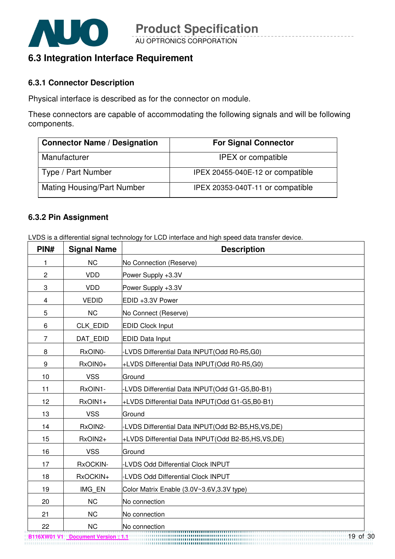

## **6.3 Integration Interface Requirement**

### **6.3.1 Connector Description**

Physical interface is described as for the connector on module.

These connectors are capable of accommodating the following signals and will be following components.

| <b>Connector Name / Designation</b> | <b>For Signal Connector</b>      |
|-------------------------------------|----------------------------------|
| Manufacturer                        | <b>IPEX</b> or compatible        |
| Type / Part Number                  | IPEX 20455-040E-12 or compatible |
| <b>Mating Housing/Part Number</b>   | IPEX 20353-040T-11 or compatible |

#### **6.3.2 Pin Assignment**

LVDS is a differential signal technology for LCD interface and high speed data transfer device.

| PIN#           | <b>Signal Name</b> | <b>Description</b>                                    |
|----------------|--------------------|-------------------------------------------------------|
| 1              | <b>NC</b>          | No Connection (Reserve)                               |
| $\overline{c}$ | <b>VDD</b>         | Power Supply +3.3V                                    |
| 3              | <b>VDD</b>         | Power Supply +3.3V                                    |
| 4              | <b>VEDID</b>       | EDID +3.3V Power                                      |
| 5              | <b>NC</b>          | No Connect (Reserve)                                  |
| 6              | <b>CLK EDID</b>    | <b>EDID Clock Input</b>                               |
| $\overline{7}$ | DAT EDID           | <b>EDID Data Input</b>                                |
| 8              | RxOIN0-            | -LVDS Differential Data INPUT(Odd R0-R5,G0)           |
| 9              | RxOIN0+            | +LVDS Differential Data INPUT(Odd R0-R5,G0)           |
| 10             | <b>VSS</b>         | Ground                                                |
| 11             | RxOIN1-            | -LVDS Differential Data INPUT(Odd G1-G5,B0-B1)        |
| 12             | RxOIN1+            | +LVDS Differential Data INPUT(Odd G1-G5,B0-B1)        |
| 13             | <b>VSS</b>         | Ground                                                |
| 14             | RxOIN2-            | -LVDS Differential Data INPUT(Odd B2-B5,HS,VS,DE)     |
| 15             | RxOIN2+            | +LVDS Differential Data INPUT (Odd B2-B5, HS, VS, DE) |
| 16             | <b>VSS</b>         | Ground                                                |
| 17             | RxOCKIN-           | -LVDS Odd Differential Clock INPUT                    |
| 18             | RxOCKIN+           | -LVDS Odd Differential Clock INPUT                    |
| 19             | IMG EN             | Color Matrix Enable (3.0V~3.6V, 3.3V type)            |
| 20             | <b>NC</b>          | No connection                                         |
| 21             | <b>NC</b>          | No connection                                         |
| 22             | <b>NC</b>          | No connection                                         |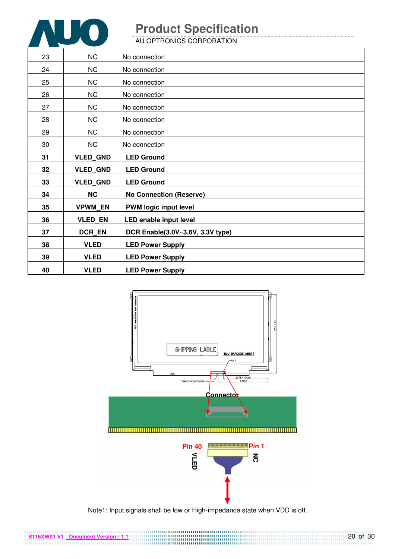

AU OPTRONICS CORPORATION

| 23 | <b>NC</b>       | No connection                    |
|----|-----------------|----------------------------------|
| 24 | NC              | No connection                    |
| 25 | NC              | No connection                    |
| 26 | <b>NC</b>       | No connection                    |
| 27 | NC              | No connection                    |
| 28 | NC              | No connection                    |
| 29 | NC              | No connection                    |
| 30 | <b>NC</b>       | No connection                    |
| 31 | <b>VLED_GND</b> | <b>LED Ground</b>                |
| 32 | <b>VLED_GND</b> | <b>LED Ground</b>                |
| 33 | <b>VLED GND</b> | <b>LED Ground</b>                |
|    |                 |                                  |
| 34 | NC              | <b>No Connection (Reserve)</b>   |
| 35 | <b>VPWM EN</b>  | PWM logic input level            |
| 36 | <b>VLED_EN</b>  | <b>LED enable input level</b>    |
| 37 | DCR_EN          | DCR Enable(3.0V~3.6V, 3.3V type) |
| 38 | <b>VLED</b>     | <b>LED Power Supply</b>          |
| 39 | <b>VLED</b>     | <b>LED Power Supply</b>          |



Note1: Input signals shall be low or High-impedance state when VDD is off.

**B116XW01 V1 Document Version : 1.1**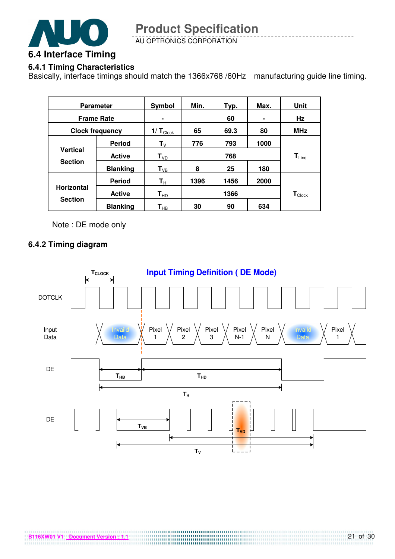

AU OPTRONICS CORPORATION

### **6.4.1 Timing Characteristics**

Basically, interface timings should match the 1366x768 /60Hz manufacturing guide line timing.

| <b>Parameter</b>       |                 | Symbol                     | Min. | Typ. | Max. | Unit                          |
|------------------------|-----------------|----------------------------|------|------|------|-------------------------------|
| <b>Frame Rate</b>      |                 | ۰                          |      | 60   |      | Hz                            |
| <b>Clock frequency</b> |                 | $1/T_{\text{Clock}}$       | 65   | 69.3 | 80   | <b>MHz</b>                    |
|                        | <b>Period</b>   | $\mathsf{T}_{\mathsf{V}}$  | 776  | 793  | 1000 |                               |
| <b>Vertical</b>        | <b>Active</b>   | $T_{VD}$                   |      | 768  |      | $\mathbf{T}_{Line}$           |
| <b>Section</b>         | <b>Blanking</b> | $T_{VB}$                   | 8    | 25   | 180  |                               |
|                        | <b>Period</b>   | $\mathsf{T}_\mathsf{H}$    | 1396 | 1456 | 2000 |                               |
| <b>Horizontal</b>      | <b>Active</b>   | $\mathsf{T}_{\mathsf{HD}}$ |      | 1366 |      | $\textsf{T}_{\textsf{Clock}}$ |
| <b>Section</b>         | <b>Blanking</b> | $\textsf{T}_{\sf HB}$      | 30   | 90   | 634  |                               |

Note : DE mode only

#### **6.4.2 Timing diagram**

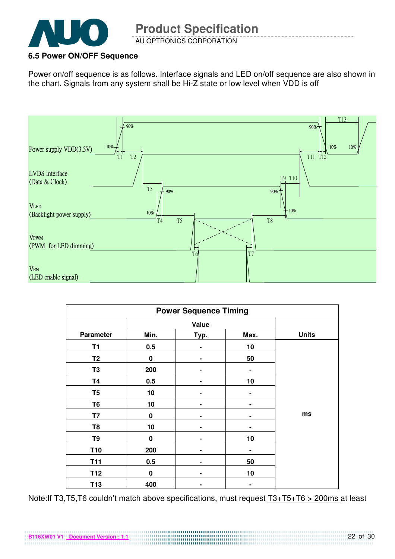

### **6.5 Power ON/OFF Sequence**

**B116XW01 V1 Document Version : 1.1**

Power on/off sequence is as follows. Interface signals and LED on/off sequence are also shown in the chart. Signals from any system shall be Hi-Z state or low level when VDD is off



| <b>Power Sequence Timing</b> |          |      |      |              |  |  |
|------------------------------|----------|------|------|--------------|--|--|
|                              | Value    |      |      |              |  |  |
| <b>Parameter</b>             | Min.     | Typ. | Max. | <b>Units</b> |  |  |
| T <sub>1</sub>               | 0.5      | ۰    | 10   |              |  |  |
| T <sub>2</sub>               | $\bf{0}$ | ۰    | 50   |              |  |  |
| T <sub>3</sub>               | 200      |      |      |              |  |  |
| <b>T4</b>                    | 0.5      |      | 10   |              |  |  |
| T <sub>5</sub>               | 10       |      |      |              |  |  |
| T <sub>6</sub>               | 10       |      | ۰    |              |  |  |
| T7                           | $\bf{0}$ |      |      | ms           |  |  |
| T <sub>8</sub>               | 10       |      |      |              |  |  |
| T9                           | 0        | ۰    | 10   |              |  |  |
| <b>T10</b>                   | 200      |      |      |              |  |  |
| <b>T11</b>                   | 0.5      |      | 50   |              |  |  |
| T12                          | $\bf{0}$ | ۰    | 10   |              |  |  |
| T13                          | 400      |      |      |              |  |  |

Note:If T3,T5,T6 couldn't match above specifications, must request T3+T5+T6 > 200ms at least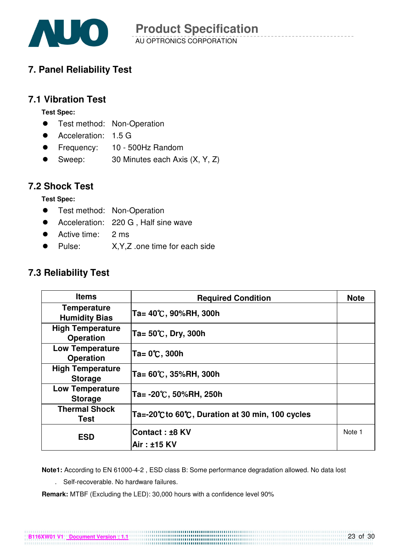

# **7. Panel Reliability Test**

## **7.1 Vibration Test**

**Test Spec:** 

- **•** Test method: Non-Operation
- Acceleration: 1.5 G
- Frequency: 10 500Hz Random
- Sweep: 30 Minutes each Axis (X, Y, Z)

### **7.2 Shock Test**

**Test Spec:** 

- **•** Test method: Non-Operation
- Acceleration: 220 G, Half sine wave
- Active time: 2 ms
- Pulse: X,Y,Z .one time for each side

## **7.3 Reliability Test**

| <b>Items</b>                                | <b>Required Condition</b>                      | <b>Note</b> |
|---------------------------------------------|------------------------------------------------|-------------|
| <b>Temperature</b><br><b>Humidity Bias</b>  | Ta= 40℃, 90%RH, 300h                           |             |
| <b>High Temperature</b><br><b>Operation</b> | Ta= 50℃, Dry, 300h                             |             |
| <b>Low Temperature</b><br><b>Operation</b>  | Ta= 0℃, 300h                                   |             |
| <b>High Temperature</b><br><b>Storage</b>   | Ta= 60℃, 35%RH, 300h                           |             |
| <b>Low Temperature</b><br><b>Storage</b>    | Ta= -20℃, 50%RH, 250h                          |             |
| <b>Thermal Shock</b><br>Test                | Ta=-20℃ to 60℃, Duration at 30 min, 100 cycles |             |
| <b>ESD</b>                                  | Contact: ±8 KV                                 | Note 1      |
|                                             | Air: ±15 KV                                    |             |

**Note1:** According to EN 61000-4-2 , ESD class B: Some performance degradation allowed. No data lost

. Self-recoverable. No hardware failures.

**Remark:** MTBF (Excluding the LED): 30,000 hours with a confidence level 90%

**B116XW01 V1 Document Version : 1.1**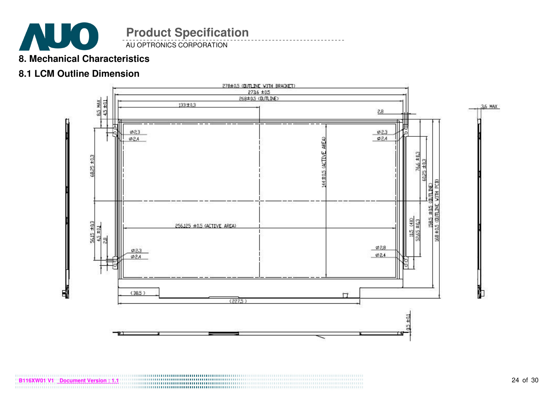

AU OPTRONICS CORPORATION

## **8. Mechanical Characteristics**

## **8.1 LCM Outline Dimension**



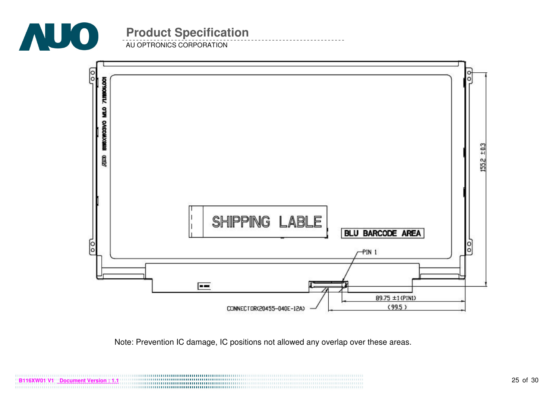

AU OPTRONICS CORPORATION



Note: Prevention IC damage, IC positions not allowed any overlap over these areas.

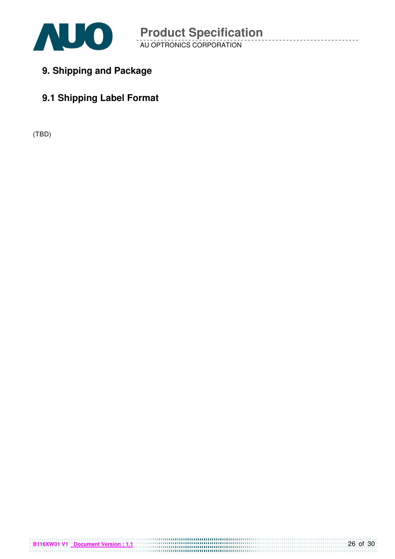

**9. Shipping and Package**

# **9.1 Shipping Label Format**

(TBD)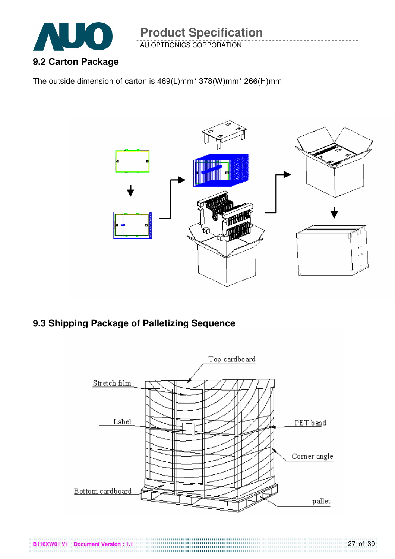

AU OPTRONICS CORPORATION

The outside dimension of carton is 469(L)mm\* 378(W)mm\* 266(H)mm



## **9.3 Shipping Package of Palletizing Sequence**

**B116XW01 V1 Document Version** 



,,,,,,,,,,,,,,,,,,,,,,,,,,,,,,,,,,, ,,,,,,,,,,,,,,,,,,,,,,,,,,,,,,,,,,,,, 

27 of 30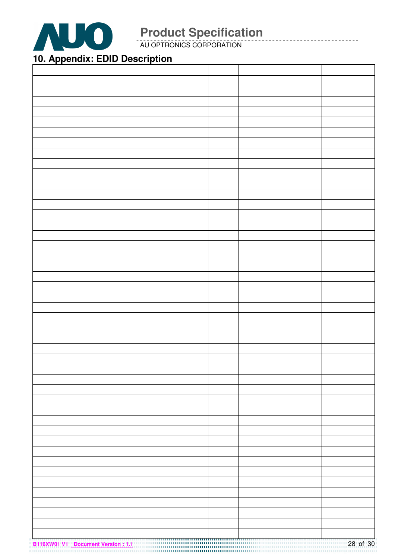

AU OPTRONICS CORPORATION

**10. Appendix: EDID Description** 

| B116XW01 V1 Document Version : 1.1 |  |  |
|------------------------------------|--|--|
|                                    |  |  |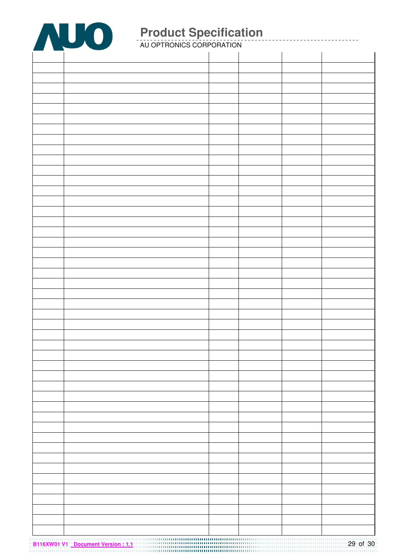

AU OPTRONICS CORPORATION

| B116XW01 V1 Document Version : 1.1 29 0 1 30 |  |  |
|----------------------------------------------|--|--|